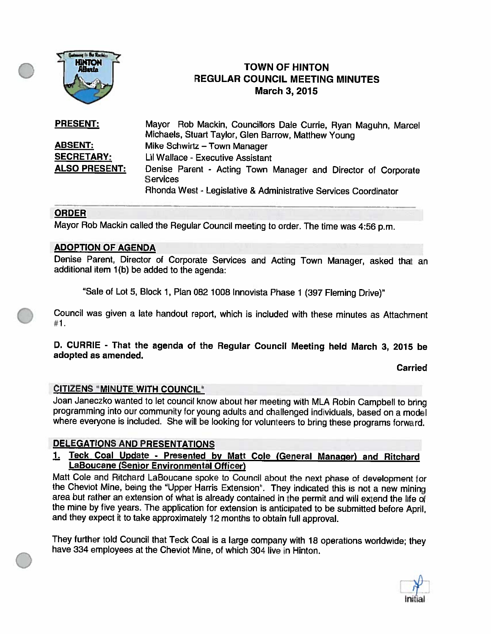

## TOWN OF HINTON REGULAR COUNCIL MEETING MINUTES March 3, 2015

| <b>PRESENT:</b>      | Mayor Rob Mackin, Councillors Dale Currie, Ryan Maguhn, Marcel                   |  |  |  |
|----------------------|----------------------------------------------------------------------------------|--|--|--|
|                      | Michaels, Stuart Taylor, Glen Barrow, Matthew Young                              |  |  |  |
| <b>ABSENT:</b>       | Mike Schwirtz - Town Manager                                                     |  |  |  |
| <b>SECRETARY:</b>    | Lil Wallace - Executive Assistant                                                |  |  |  |
| <b>ALSO PRESENT:</b> | Denise Parent - Acting Town Manager and Director of Corporate<br><b>Services</b> |  |  |  |
|                      |                                                                                  |  |  |  |

### Rhonda West - Legislative & Administrative Services Coordinator

### ORDER

Mayor Rob Mackin called the Regular Council meeting to order. The time was 4:56 p.m.

### ADOPTION OF AGENDA

Denise Parent, Director of Corporate Services and Acting Town Manager, asked that an additional item 1(b) be added to the agenda:

Sale of Lot 5, Block 1, Plan <sup>082</sup> <sup>1008</sup> Innovista Phase <sup>1</sup> (397 Fleming Drive)"

Council was <sup>g</sup>iven <sup>a</sup> late handout report, which is included with these minutes as Attachment #1

0. CURRIE - That the agenda of the Regular Council Meeting held March 3, <sup>2015</sup> be adopted as amended.

Carried

## CITIZENS 'MINUTE WITH COUNCIL"

Joan Janeczko wanted to let council know about her meeting with MLA Robin Campbell to bring programming into our community for young adults and challenged individuals, based on <sup>a</sup> model where everyone is included. She will be looking for volunteers to bring these programs forward.

## DELEGATIONS AND PRESENTATIONS

#### Teck Coal Update - Presented by Matt Cole (General Manager) and Ritchard 1. LaBoucane (Senior Environmental Officer)

Matt Cole and Ritchard LaBoucane spoke to Council about the next <sup>p</sup>hase of development for the Cheviot Mine, being the "Upper Harris Extension". They indicated this is not <sup>a</sup> new mining area but rather an extension of what is already contained in the permit and will extend the life of the mine by five years. The application for extension is anticipated to be submitted before April, and they expect it to take approximately <sup>12</sup> months to obtain full approval.

They further told Council that Teck Coal is <sup>a</sup> large company with <sup>18</sup> operations worldwide; they have <sup>334</sup> employees at the Cheviot Mine, of which <sup>304</sup> live in Hinton.

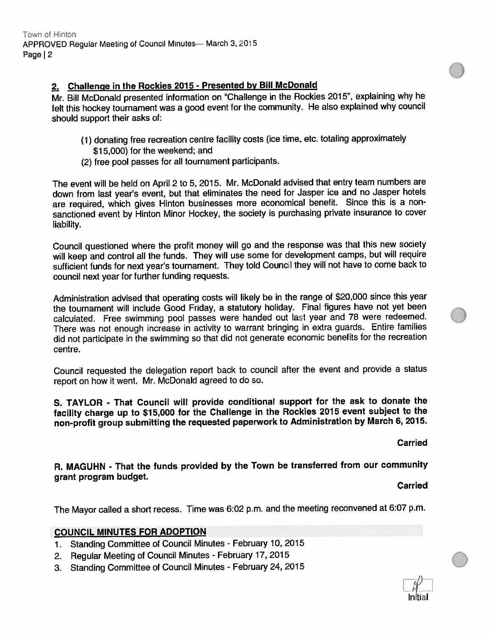### 2. Challenge in the Rockies <sup>2015</sup> - Presented by Bill McDonald

Mr. Bill McDonald presented information on 'Challenge in the Rockies 2015", explaining why he felt this hockey tournament was <sup>a</sup> goo<sup>d</sup> event for the community. He also explained why council should suppor<sup>t</sup> their asks of:

- (1) donating free recreation centre facility costs (ice time, etc. totaling approximately \$15,000) for the weekend; and
- (2) free poo<sup>l</sup> passes for all tournament participants.

The event will be held on April <sup>2</sup> to 5, 2015. Mr. McDonald advised that entry team numbers are down from last year's event, but that eliminates the need for Jasper ice and no Jasper hotels are required, which <sup>g</sup>ives Hinton businesses more economical benefit. Since this is <sup>a</sup> nonsanctioned event by Hinton Minor Hockey, the society is purchasing private insurance to cover liability.

Council questioned where the profit money will go and the response was that this new society will keep and control all the funds. They will use some for development camps, but will require sufficient funds for next year's tournament. They told Council they will not have to come back to council next year for further funding requests.

Administration advised that operating costs will likely be in the range of \$20,000 since this year the tournament will include Good Friday, <sup>a</sup> statutory holiday. Final figures have not ye<sup>t</sup> been calculated. Free swimming poo<sup>l</sup> passes were handed out last year and <sup>78</sup> were redeemed. There was not enoug<sup>h</sup> increase in activity to warrant bringing in extra guards. Entire families did not participate in the swimming so that did not generate economic benefits for the recreation centre.

Council requested the delegation repor<sup>t</sup> back to council after the event and provide <sup>a</sup> status repor<sup>t</sup> on how it went. Mr. McDonald agree<sup>d</sup> to do so.

S. TAYLOR - That Council will provide conditional suppor<sup>t</sup> for the ask to donate the facility charge up to \$15,000 for the Challenge in the Rockies <sup>2015</sup> event subject to the non-profit group submitting the requested paperwork to Administration by March 6,2015.

Carried

.

R. MAGUHN - That the funds provided by the Town be transferred from our community gran<sup>t</sup> program budget.

**Carried** 

The Mayor called <sup>a</sup> short recess. Time was 6:02 p.m. and the meeting reconvened at 6:07 p.m.

#### COUNCIL MINUTES FOR ADOPTION

- 1. Standing Committee of Council Minutes February 10, <sup>2015</sup>
- 2. Regular Meeting of Council Minutes February 17, <sup>2015</sup>
- 3. Standing Committee of Council Minutes February 24, <sup>2015</sup>

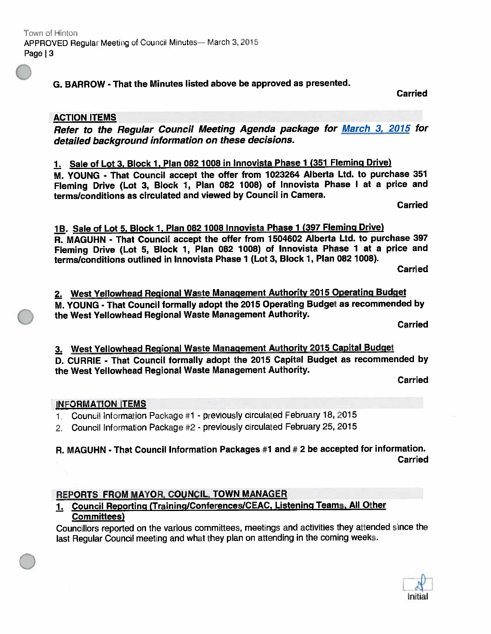## G. BARROW - That the Minutes listed above be approved as presented.

Carried

## ACTION ITEMS

Refer to the Regular Council Meeting Agenda package for March 3, 2015 for detailed background information on these decisions.

## 1. Sale of Lot 3, Block 1, Plan 082 1008 in Innovista Phase 1 (351 Fleming Drive)

M. YOUNG - That Council accep<sup>t</sup> the offer from <sup>1023264</sup> Alberta Ltd. to purchase <sup>351</sup> Fleming Drive (Lot 3, Block 1, Plan <sup>082</sup> 1008) of Innovista Phase <sup>I</sup> at <sup>a</sup> price and terms/conditions as circulated and viewed by Council in Camera.

Carried

## 1B. Sale of Lot 5, Block 1, Plan 082 1008 Innovista Phase 1 (397 Fleming Drive) R. MAGUHN - That Council accep<sup>t</sup> the offer from <sup>1504602</sup> Alberta Ltd. to purchase <sup>397</sup> Fleming Drive (Lot 5, Block 1, Plan <sup>062</sup> 1008) of Innovista Phase <sup>1</sup> at <sup>a</sup> price and terms/conditions outlined in lnnovista Phase 1 (Lot 3, Block 1, Plan 082 1008).

Carried

## 2. West Yellowhead Regional Waste Management Authority <sup>2015</sup> Operating Budget M. YOUNG - That Council formally adopt the <sup>2015</sup> Operating Budget as recommended by the West Yellowhead Regional Waste Management Authority.

Carried

3. West Yellowhead Regional Waste Management Authority <sup>2015</sup> Capital Budget D. CURRIE - That Council formally adopt the <sup>2015</sup> Capital Budget as recommended by the West Yellowhead Regional Waste Management Authority.

Carried

## INFORMATION ITEMS

- 1, Council nformation Package #1 . previously circulated February 18, 2015
- 2. Council Information Package #2 . previously circulated February 25, <sup>2015</sup>

## R. MAGUHN - That Council Information Packages #1 and #2 be accepted for information. Carried

## REPORTS FROM MAYOR, COUNCIL, TOWN MANAGER

## Council Reporting (Training/Conferences/CEAC, Listening Teams. All Other Committees)

Councillors reported on the various committees, meetings and activities they attended since the last Regular Council meeting and what they <sup>p</sup>lan on attending in the coming weeks.

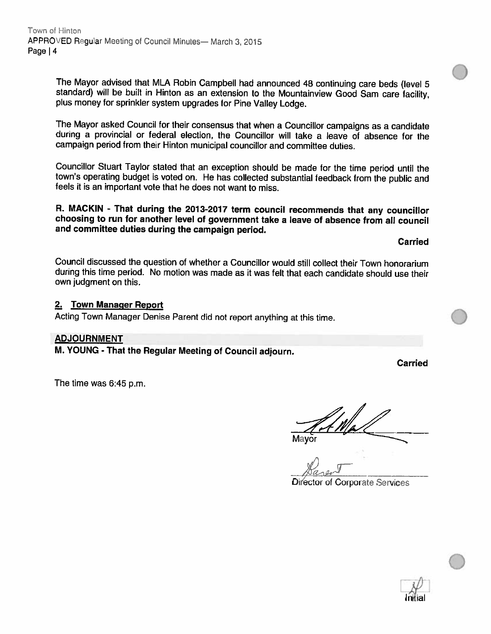The Mayor advised that MLA Robin Campbell had announced 48 continuing care beds (level 5 standard) will be built in Hinton as an extension to the Mountainview Good Sam care facility, <sup>p</sup>lus money for sprinkler system upgrades for Pine Valley Lodge.

The Mayor asked Council for their consensus that when <sup>a</sup> Councillor campaigns as <sup>a</sup> candidate during <sup>a</sup> provincial or federal election, the Councillor will take <sup>a</sup> leave of absence for the campaign period from their Hinton municipal councillor and committee duties.

Councillor Stuart Taylor stated that an exception should be made for the time period until the town's operating budget is voted on. He has collected substantial feedback from the public and feels it is an important vote that he does not want to miss.

# R. MACKIN - That during the 2013-2017 term council recommends that any councillor choosing to run for another level of government take <sup>a</sup> leave of absence from all council and committee duties during the campaign period.

Carried

Council discussed the question of whether <sup>a</sup> Councillor would still collect their Town honorarium during this time period. No motion was made as it was felt that each candidate should use their own judgment on this.

#### 2. Town Manager Report

Acting Town Manager Denise Parent did not report anything at this time.

#### ADJOURNMENT

M. YOUNG - That the Regular Meeting of Council adjourn.

Carried

The time was 6:45 p.m.

Mayor

Director of Corporate Services



.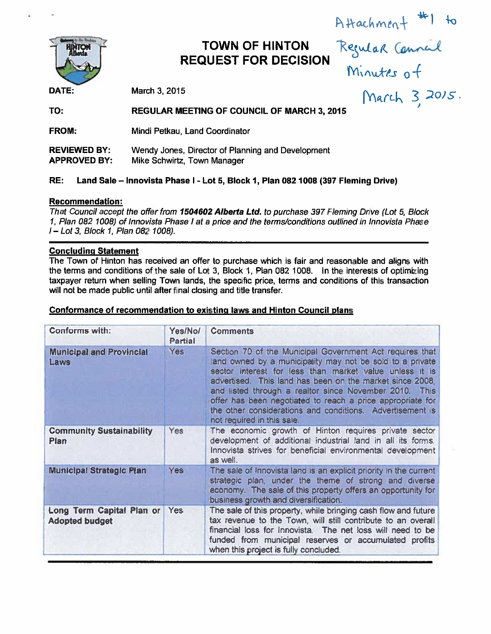DATE:

TOWN OF HINTON REQUEST FOR DECISION

 $3,2015$ 

Attachment  $H$  to

#### TO: REGULAR MEETING OF COUNCIL OF MARCH 3, 2015

#### RE: Land Sale — Innovista Phase I -Lot 5, Block 1, Plan 002 1008 (397 Fleming Drive)

#### Recommendation:

#### Concluding Statement

#### Conformance of recommendation to existing laws and Hinton Council plans

|                                                                                                                                                                                                                                                                                                                                                                                                                                                                                                               | <b>TOWN OF HINTON</b><br><b>REQUEST FOR DECISION</b> |                                                                                                                                                                                                                                                                                                                                                                                                                                                                 | Attachment #1<br>Regular Cannal |  |
|---------------------------------------------------------------------------------------------------------------------------------------------------------------------------------------------------------------------------------------------------------------------------------------------------------------------------------------------------------------------------------------------------------------------------------------------------------------------------------------------------------------|------------------------------------------------------|-----------------------------------------------------------------------------------------------------------------------------------------------------------------------------------------------------------------------------------------------------------------------------------------------------------------------------------------------------------------------------------------------------------------------------------------------------------------|---------------------------------|--|
| DATE:                                                                                                                                                                                                                                                                                                                                                                                                                                                                                                         | March 3, 20<br>March 3, 2015                         |                                                                                                                                                                                                                                                                                                                                                                                                                                                                 |                                 |  |
| TO:                                                                                                                                                                                                                                                                                                                                                                                                                                                                                                           | <b>REGULAR MEETING OF COUNCIL OF MARCH 3, 2015</b>   |                                                                                                                                                                                                                                                                                                                                                                                                                                                                 |                                 |  |
| <b>FROM:</b>                                                                                                                                                                                                                                                                                                                                                                                                                                                                                                  | Mindi Petkau, Land Coordinator                       |                                                                                                                                                                                                                                                                                                                                                                                                                                                                 |                                 |  |
| <b>REVIEWED BY:</b><br>Wendy Jones, Director of Planning and Development<br><b>APPROVED BY:</b><br>Mike Schwirtz, Town Manager                                                                                                                                                                                                                                                                                                                                                                                |                                                      |                                                                                                                                                                                                                                                                                                                                                                                                                                                                 |                                 |  |
| RE.                                                                                                                                                                                                                                                                                                                                                                                                                                                                                                           |                                                      | Land Sale – Innovista Phase I - Lot 5, Block 1, Plan 082 1008 (397 Fleming Drive)                                                                                                                                                                                                                                                                                                                                                                               |                                 |  |
| <b>Recommendation:</b><br>That Council accept the offer from 1504602 Alberta Ltd. to purchase 397 Fleming Drive (Lot 5, Block<br>1, Plan 082 1008) of Innovista Phase I at a price and the terms/conditions outlined in Innovista Phase<br>I-Lot 3, Block 1, Plan 082 1008).                                                                                                                                                                                                                                  |                                                      |                                                                                                                                                                                                                                                                                                                                                                                                                                                                 |                                 |  |
| <b>Concluding Statement</b><br>The Town of Hinton has received an offer to purchase which is fair and reasonable and aligns with<br>the terms and conditions of the sale of Lot 3, Block 1, Plan 082 1008. In the interests of optimizing<br>taxpayer return when selling Town lands, the specific price, terms and conditions of this transaction<br>will not be made public until after final closing and title transfer.<br><b>Conformance of recommendation to existing laws and Hinton Council plans</b> |                                                      |                                                                                                                                                                                                                                                                                                                                                                                                                                                                 |                                 |  |
| <b>Conforms with:</b>                                                                                                                                                                                                                                                                                                                                                                                                                                                                                         | Yes/No/<br>Partial                                   | <b>Comments</b>                                                                                                                                                                                                                                                                                                                                                                                                                                                 |                                 |  |
| <b>Municipal and Provincial</b><br>Laws                                                                                                                                                                                                                                                                                                                                                                                                                                                                       | Yes                                                  | Section 70 of the Municipal Government Act requires that<br>land owned by a municipality may not be sold to a private<br>sector interest for less than market value unless it is<br>advertised. This land has been on the market since 2008.<br>and listed through a realtor since November 2010. This<br>offer has been negotiated to reach a price appropriate for<br>the other considerations and conditions. Advertisement is<br>not required in this sale. |                                 |  |
| <b>Community Sustainability</b><br>Plan                                                                                                                                                                                                                                                                                                                                                                                                                                                                       | Yes                                                  | The economic growth of Hinton requires private sector<br>development of additional industrial land in all its forms.<br>Innovista strives for beneficial environmental development<br>as well.                                                                                                                                                                                                                                                                  |                                 |  |
| <b>Municipal Strategic Plan</b>                                                                                                                                                                                                                                                                                                                                                                                                                                                                               | Yes                                                  | The sale of Innovista land is an explicit priority in the current<br>strategic plan, under the theme of strong and diverse<br>economy. The sale of this property offers an opportunity for<br>business growth and diversification.                                                                                                                                                                                                                              |                                 |  |
| Long Term Capital Plan or<br><b>Adopted budget</b>                                                                                                                                                                                                                                                                                                                                                                                                                                                            | Yes                                                  | The sale of this property, while bringing cash flow and future<br>tax revenue to the Town, will still contribute to an overall<br>financial loss for Innovista. The net loss will need to be<br>funded from municipal reserves or accumulated profits<br>when this project is fully concluded.                                                                                                                                                                  |                                 |  |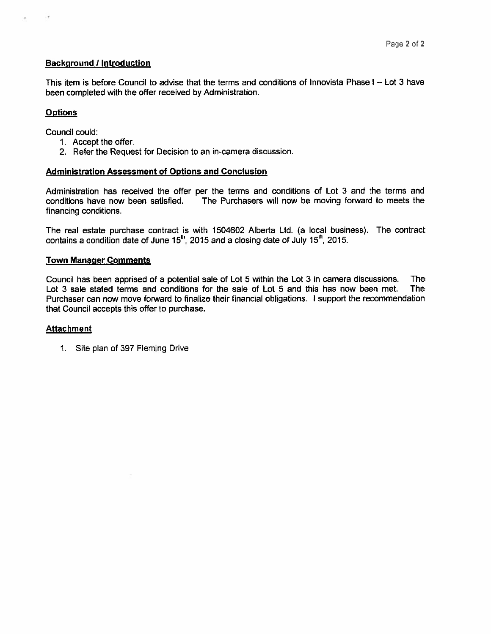#### **Background / Introduction**

This item is before Council to advise that the terms and conditions of Innovista Phase I – Lot 3 have been completed with the offer received by Administration.

#### **Options**

Council could:

- 1. Accept the offer.
- 2. Refer the Request for Decision to an in-camera discussion.

#### Administration Assessment of Options and Conclusion

Administration has received the offer per the terms and conditions of Lot 3 and the terms and conditions have now been satisfied. The Purchasers wdl now be moving forward to meets the financing conditions.

The real estate purchase contract is with 1504602 Alberta Ltd. (a local business). The contract contains a condition date of June  $15<sup>th</sup>$ , 2015 and a closing date of July 15 $<sup>th</sup>$ , 2015.</sup>

#### Town Manager Comments

Council has been apprised of <sup>a</sup> potential sale of Lot 5 wthin the Lot 3 in camera discussions. The Lot 3 sale stated terms and conditions for the sale of Lot 5 and this has now been met. The Purchaser can now move forward to finalize their financial obligations. I suppor<sup>t</sup> the recommendation that Council accepts this offer to purchase.

#### **Attachment**

1. Site plan of 397 Fleming Drive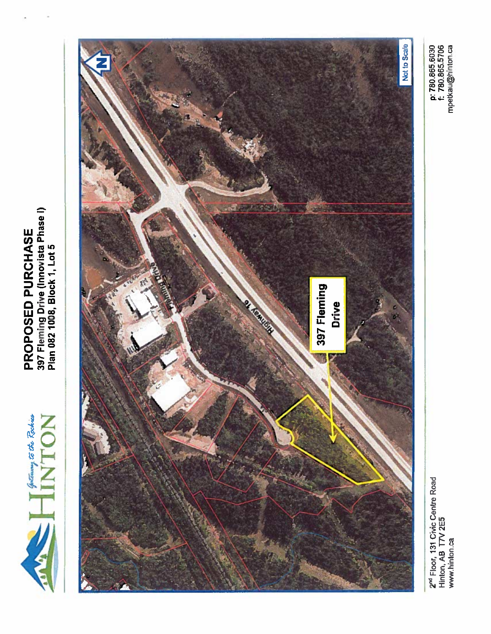

397 Fleming Drive (Innovista Phase I)<br>Plan 082 1008, Block 1, Lot 5 397 Fleming Drive (Innovista Phase I) PROPOSED PURCHASE PROPOSED PURCHASE Plan 082 1008, Block 1, Lot 5



2<sup>rd</sup> Floor, 131 Civic Centre Road<br>Hinton, AB T7V 2E5<br>www.hinton.ca 2<sup>nd</sup> Floor, 131 Civic Centre Road Hinton, AB TN 2E5 www.hinton.ca

p: 780.865.6030<br>f: 780.865.5706<br>mpetkau@hinton.ca p: 780.865.6030 f: 780.8655706 mpetkau@hintcn.ca